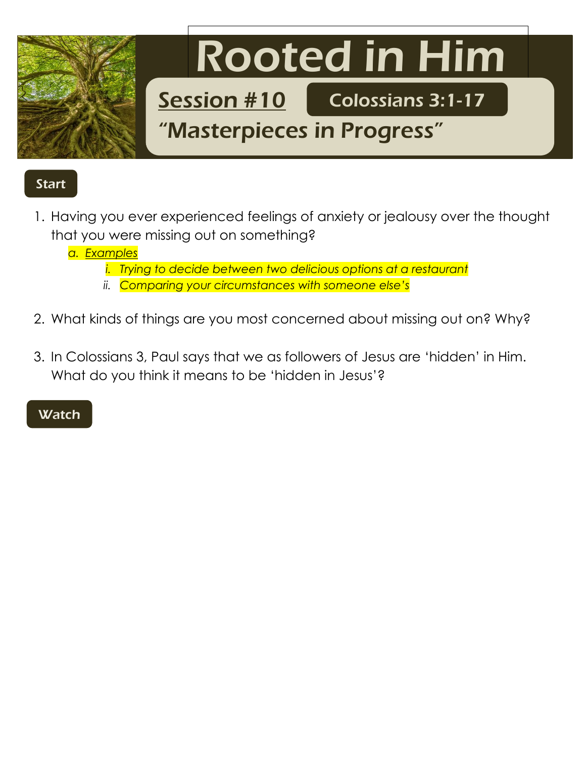

## Start

1. Having you ever experienced feelings of anxiety or jealousy over the thought that you were missing out on something?

*a. Examples*

- *i. Trying to decide between two delicious options at a restaurant*
- *ii. Comparing your circumstances with someone else's*
- 2. What kinds of things are you most concerned about missing out on? Why?
- 3. In Colossians 3, Paul says that we as followers of Jesus are 'hidden' in Him. What do you think it means to be 'hidden in Jesus'?

## **Watch**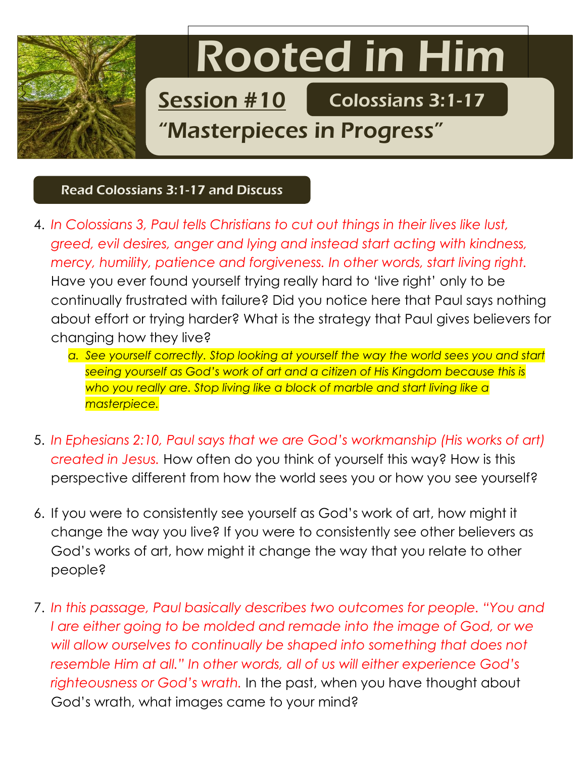

## Read Colossians 3:1-17 and Discuss

- 4. *In Colossians 3, Paul tells Christians to cut out things in their lives like lust, greed, evil desires, anger and lying and instead start acting with kindness, mercy, humility, patience and forgiveness. In other words, start living right.*  Have you ever found yourself trying really hard to 'live right' only to be continually frustrated with failure? Did you notice here that Paul says nothing about effort or trying harder? What is the strategy that Paul gives believers for changing how they live?
	- a. See yourself correctly. Stop looking at yourself the way the world sees you and start *seeing yourself as God's work of art and a citizen of His Kingdom because this is who you really are. Stop living like a block of marble and start living like a masterpiece.*
- 5. *In Ephesians 2:10, Paul says that we are God's workmanship (His works of art) created in Jesus.* How often do you think of yourself this way? How is this perspective different from how the world sees you or how you see yourself?
- 6. If you were to consistently see yourself as God's work of art, how might it change the way you live? If you were to consistently see other believers as God's works of art, how might it change the way that you relate to other people?
- 7. *In this passage, Paul basically describes two outcomes for people. "You and I are either going to be molded and remade into the image of God, or we will allow ourselves to continually be shaped into something that does not resemble Him at all." In other words, all of us will either experience God's righteousness or God's wrath.* In the past, when you have thought about God's wrath, what images came to your mind?